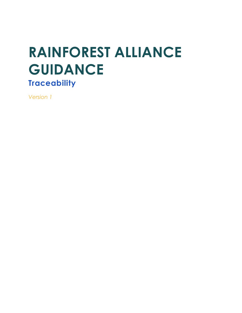# **RAINFOREST ALLIANCE GUIDANCE Traceability**

*Version 1*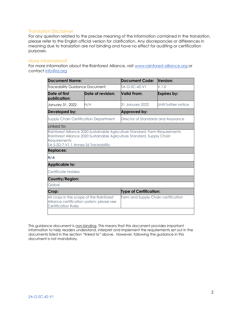#### Translation Disclaimer

For any question related to the precise meaning of the information contained in the translation, please refer to the English official version for clarification. Any discrepancies or differences in meaning due to translation are not binding and have no effect for auditing or certification purposes.

#### More information?

For more information about the Rainforest Alliance, visit [www.rainforest-alliance.org](http://www.rainforest-alliance.org/) or contact [info@ra.org](mailto:info@ra.org)

| <b>Document Name:</b><br>Traceability Guidance Document                  |                                                                                       | <b>Document Code:</b><br>SA-G-SC-42-V1 | Version:             |
|--------------------------------------------------------------------------|---------------------------------------------------------------------------------------|----------------------------------------|----------------------|
|                                                                          |                                                                                       |                                        | V.1.0                |
| Date of first<br>publication:                                            | Date of revision:                                                                     | <b>Valid From:</b>                     | Expires by:          |
| January 31, 2022                                                         | N/A                                                                                   | 31 January 2022                        | Until further notice |
| Developed by:                                                            |                                                                                       | Approved by:                           |                      |
| <b>Supply Chain Certification Department</b>                             |                                                                                       | Director of Standards and Assurance    |                      |
| Linked to:                                                               |                                                                                       |                                        |                      |
| Requirements<br>SA-S-SD-7-V1.1 Annex S6 Traceability<br><b>Replaces:</b> | Rainforest Alliance 2020 Sustainable Agriculture Standard, Supply Chain               |                                        |                      |
| N/A                                                                      |                                                                                       |                                        |                      |
| <b>Applicable to:</b>                                                    |                                                                                       |                                        |                      |
| Certificate Holders                                                      |                                                                                       |                                        |                      |
| Country/Region:                                                          |                                                                                       |                                        |                      |
| Global                                                                   |                                                                                       |                                        |                      |
| Crop:                                                                    |                                                                                       | <b>Type of Certification:</b>          |                      |
| <b>Certification Rules</b>                                               | All crops in the scope of the Rainforest<br>Alliance certification system; please see | Farm and Supply Chain certification    |                      |
|                                                                          |                                                                                       |                                        |                      |

This guidance document is non-binding. This means that this document provides important information to help readers understand, interpret and implement the requirements set out in the documents listed in the section "linked to" above. However, following the guidance in this document is not mandatory.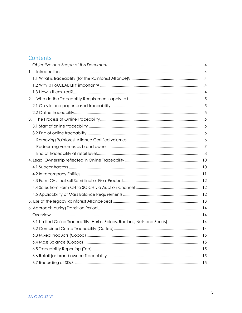# Contents

| 1.                                                                           |  |
|------------------------------------------------------------------------------|--|
|                                                                              |  |
|                                                                              |  |
|                                                                              |  |
|                                                                              |  |
|                                                                              |  |
|                                                                              |  |
| 3.                                                                           |  |
|                                                                              |  |
|                                                                              |  |
|                                                                              |  |
|                                                                              |  |
|                                                                              |  |
|                                                                              |  |
|                                                                              |  |
|                                                                              |  |
|                                                                              |  |
|                                                                              |  |
|                                                                              |  |
|                                                                              |  |
|                                                                              |  |
|                                                                              |  |
| 6.1 Limited Online Traceability (Herbs, Spices, Rooibos, Nuts and Seeds)  14 |  |
|                                                                              |  |
|                                                                              |  |
|                                                                              |  |
|                                                                              |  |
|                                                                              |  |
|                                                                              |  |
|                                                                              |  |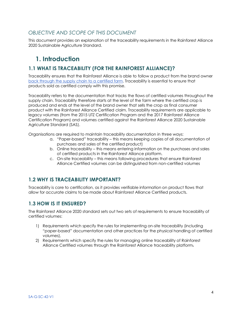# <span id="page-3-0"></span>*OBJECTIVE AND SCOPE OF THIS DOCUMENT*

This document provides an explanation of the traceability requirements in the Rainforest Alliance 2020 Sustainable Agriculture Standard.

# <span id="page-3-1"></span>**1. Introduction**

# <span id="page-3-2"></span>**1.1 WHAT IS TRACEABILITY (FOR THE RAINFOREST ALLIANCE)?**

Traceability ensures that the Rainforest Alliance is able to follow a produc[t from the brand owner](https://www.rainforest-alliance.org/business/certification/which-retailers-should-get-rainforest-alliance-certified/)  [back through the supply chain to a certified farm.](https://www.rainforest-alliance.org/business/certification/which-retailers-should-get-rainforest-alliance-certified/) Traceability is essential to ensure that products sold as certified comply with this promise.

Traceability refers to the documentation that tracks the flows of certified volumes throughout the supply chain. Traceability therefore starts at the level of the farm where the certified crop is produced and ends at the level of the brand owner that sells the crop as final consumer product with the Rainforest Alliance Certified claim. Traceability requirements are applicable to legacy volumes (from the 2015 UTZ Certification Program and the 2017 Rainforest Alliance Certification Program) and volumes certified against the Rainforest Alliance 2020 Sustainable Agriculture Standard (SAS).

Organisations are required to maintain traceability documentation in three ways:

- a. "Paper-based" traceability this means keeping copies of all documentation of purchases and sales of the certified product)
- b. Online traceability this means entering information on the purchases and sales of certified products in the Rainforest Alliance platform.
- c. On-site traceability this means following procedures that ensure Rainforest Alliance Certified volumes can be distinguished from non-certified volumes

## <span id="page-3-3"></span>**1.2 WHY IS TRACEABILITY IMPORTANT?**

Traceability is core to certification, as it provides verifiable information on product flows that allow for accurate claims to be made about Rainforest Alliance Certified products.

# <span id="page-3-4"></span>**1.3 HOW IS IT ENSURED?**

The Rainforest Alliance 2020 standard sets out two sets of requirements to ensure traceability of certified volumes:

- 1) Requirements which specify the rules for implementing on-site traceability (including "paper-based" documentation and other practices for the physical handling of certified volumes),
- 2) Requirements which specify the rules for managing online traceability of Rainforest Alliance Certified volumes through the Rainforest Alliance traceability platform.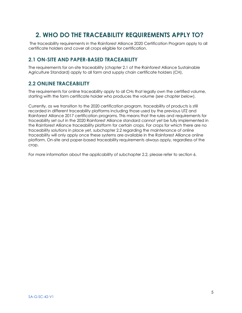# <span id="page-4-0"></span>**2. WHO DO THE TRACEABILITY REQUIREMENTS APPLY TO?**

The traceability requirements in the Rainforest Alliance 2020 Certification Program apply to all certificate holders and cover all crops eligible for certification.

# <span id="page-4-1"></span>**2.1 ON-SITE AND PAPER-BASED TRACEABILITY**

The requirements for on-site traceability (chapter 2.1 of the Rainforest Alliance Sustainable Agriculture Standard) apply to all farm and supply chain certificate holders (CH).

## <span id="page-4-2"></span>**2.2 ONLINE TRACEABILITY**

The requirements for online traceability apply to all CHs that legally own the certified volume, starting with the farm certificate holder who produces the volume (*see chapter below*).

Currently, as we transition to the 2020 certification program, traceability of products is still recorded in different traceability platforms including those used by the previous UTZ and Rainforest Alliance 2017 certification programs. This means that the rules and requirements for traceability set out in the 2020 Rainforest Alliance standard cannot yet be fully implemented in the Rainforest Alliance traceability platform for certain crops. For crops for which there are no traceability solutions in place yet, subchapter 2.2 regarding the maintenance of online traceability will only apply once these systems are available in the Rainforest Alliance online platform. On-site and paper-based traceability requirements always apply, regardless of the crop.

For more information about the applicability of subchapter 2.2, please refer to section 6.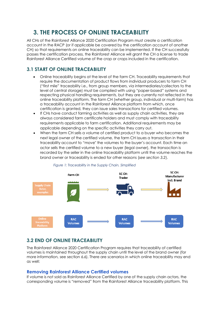# <span id="page-5-0"></span>**3. THE PROCESS OF ONLINE TRACEABILITY**

<span id="page-5-1"></span>All CHs of the Rainforest Alliance 2020 Certification Program must create a certification account in the RACP (or if applicable be covered by the certification account of another CH) so that requirements on online traceability can be implemented. If the CH successfully passes the certification process, the Rainforest Alliance will grant the CH a license to trade Rainforest Alliance Certified volume of the crop or crops included in the certification.

# **3.1 START OF ONLINE TRACEABILITY**

- Online traceability begins at the level of the farm CH. Traceability requirements that require the documentation of product flows from individual producers to farm CH ("first mile" traceability i.e., from group members, via intermediaries/collectors to the level of central storage) must be complied with using "paper-based" systems and respecting physical handling requirements, but they are currently not reflected in the online traceability platform. The farm CH (whether group, individual or multi-farm) has a traceability account in the Rainforest Alliance platform from which, once certification is granted, they can issue sales transactions for certified volumes.
- If CHs have conduct farming activities as well as supply chain activities, they are always considered farm certificate holders and must comply with traceability requirements applicable to farm certification. Additional requirements may be applicable depending on the specific activities they carry out.
- When the farm CH sells a volume of certified product to a buyer who becomes the next legal owner of the certified volume, the farm CH issues a transaction in their traceability account to "move" the volumes to the buyer's account. Each time an actor sells the certified volume to a new buyer (legal owner), the transaction is recorded by the seller in the online traceability platform until the volume reaches the brand owner or traceability is ended for other reasons (*see section 3.2*).



#### *Figure 1: Traceability in the Supply Chain, Simplified*

# <span id="page-5-2"></span>**3.2 END OF ONLINE TRACEABILITY**

<span id="page-5-3"></span>The Rainforest Alliance 2020 Certification Program requires that traceability of certified volumes is maintained throughout the supply chain until the level of the brand owner (for more information, see section 6.6). There are scenarios in which online traceability may end as well:

#### **Removing Rainforest Alliance Certified volumes**

If volume is not sold as Rainforest Alliance Certified by one of the supply chain actors, the corresponding volume is "removed" from the Rainforest Alliance traceability platform. This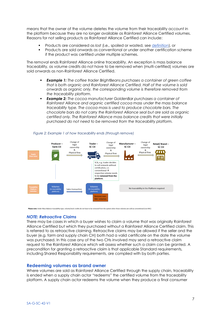means that the owner of the volume deletes the volume from their traceability account in the platform because they are no longer available as Rainforest Alliance Certified volumes. Reasons for not selling products as Rainforest Alliance Certified can include:

- Products are considered as *lost* (i.e., spoiled or wasted, see [definition\)](https://www.rainforest-alliance.org/resource-item/annex-1-glossary/), or
- Products are sold onwards as conventional or under another certification scheme if the product was certified under multiple schemes.

The *removal* ends Rainforest Alliance online traceability. An exception is mass balance traceability, as volume credits do not have to be removed when (multi-certified) volumes are sold onwards as non-Rainforest Alliance Certified.

- **Example 1:** The coffee trader BrightBeans purchases a container of green coffee *that is both organic and Rainforest Alliance Certified. Half of the volume is sold onwards as organic only, the corresponding volume is therefore removed from the traceability platform.*
- *Example 2: The cocoa manufacturer GoldenBar purchases a container of Rainforest Alliance and organic certified cocoa mass under the mass balance traceability type. The cocoa mass is used to produce chocolate bars. The chocolate bars do not carry the Rainforest Alliance seal but are sold as organic certified only. The Rainforest Alliance mass balance credits that were initially purchased do not need to be removed from the traceability platform.*



#### *Figure 2: Example 1 of how traceability ends (through remove)*

Please note: Under Mass Balance traceability type, volume/stock credits do not have to be removed from the system when those volumes are sold as conventional (non RAC)

#### *NOTE: Retroactive Claims*

There may be cases in which a buyer wishes to claim a volume that was originally Rainforest Alliance Certified but which they purchased without a Rainforest Alliance Certified claim. This is referred to as retroactive claiming. Retroactive claims may be allowed if the seller and the buyer (e.g. farm and supply chain CH) both had a valid certificate on the date the volume was purchased. In this case any of the two CHs involved may send a retroactive claim request to the Rainforest Alliance which will assess whether such a claim can be granted. A precondition for granting a retroactive claim is that applicable Standard requirements, including Shared Responsibility requirements, are complied with by both parties.

#### <span id="page-6-0"></span>**Redeeming volumes as brand owner**

Where volumes are sold as Rainforest Alliance Certified through the supply chain, traceability is ended when a supply chain actor "redeems" the certified volume from the traceability platform. A supply chain actor redeems the volume when they produce a final consumer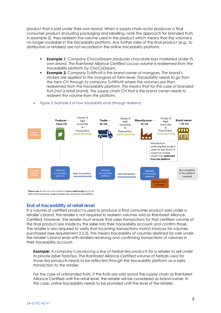product that is sold under their own brand. When a supply chain actor produces a final consumer product (including packaging and labelling, note the approach for branded fruits in example 2), they redeem the volume used in the product which means that the volume is no longer available in the traceability platform. Any further sales of the final product (e.g., to distributors or retailers) are not recorded in the online traceability platform.

- *Example 1: Company ChocoDream produces chocolate bars marketed under its own brand. The Rainforest Alliance Certified cocoa volume is redeemed from the traceability platform by ChoCoDream.*
- *Example 2: Company TuttiFrutti is the brand owner of mangoes. The brand's stickers are applied to the mangoes at farm-level. Traceability needs to go from the farm CH through to company TuttiFrutti where the volumes are then redeemed from the traceability platform. This means that for the case of branded fruit (not a retail brand), the supply chain CH that is the brand owner needs to redeem the volume from the platform.*



• *Figure 3: Example 2 of how traceability ends (through redeem)*

<span id="page-7-0"></span>Please note, for the case of branded fruit (not a retail brand), the SC CH that is the brand owner needs to redeem the volume from the platform

#### **End of traceability at retail level**

If a volume of certified product is used to produce a final consumer product sold under a retailer's brand, the retailer is not required to redeem volumes sold as Rainforest Alliance Certified. However, the retailer must ensure that sales transactions for that certified volume of the final product are made by the seller into their traceability account and confirm those. The retailer is also required to verify that incoming transactions match invoices for volumes purchased (see requirement 2.2.2). This means traceability of volumes destined for sale under the retailer's brand ends with retailers receiving and confirming transactions of volumes in their traceability account.

**Example:** A company is producing a line of herbal tea products for a retailer to sell under *its private label TastyTea. The Rainforest Alliance Certified volume of herbals used for those tea products needs to be reflected through the traceability platform as a sales transaction to the retailer.* 

For the case of unbranded fruits, if the fruits are sold across the supply chain as Rainforest Alliance Certified until the retail level, the retailer will be considered as brand owner. In this case, online traceability needs to be provided until the level of the retailer.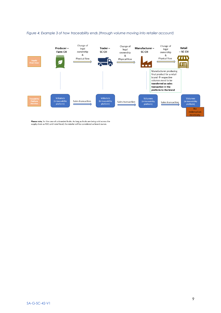

#### *Figure 4: Example 3 of how traceability ends (through volume moving into retailer account)*

Please note, for the case of unbranded fruits: As long as fruits are being sold across the supply chain as RAC until retail level, the retailer will be considered as brand owner.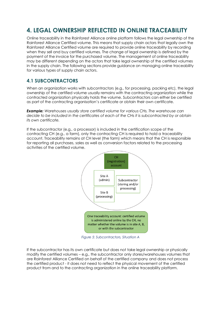# <span id="page-9-0"></span>**4. LEGAL OWNERSHIP REFLECTED IN ONLINE TRACEABILITY**

Online traceability in the Rainforest Alliance online platform follows the legal ownership of the Rainforest Alliance Certified volume. This means that supply chain actors that legally own the Rainforest Alliance Certified volume are required to provide online traceability by recording when they sell and buy certified volumes. The change of legal ownership is defined by the payment of the invoice for the purchased volume. The management of online traceability may be different depending on the actors that take legal ownership of the certified volumes in the supply chain. The following sections provide guidance on managing online traceability for various types of supply chain actors.

# <span id="page-9-1"></span>**4.1 SUBCONTRACTORS**

When an organization works with subcontractors (e.g., for processing, packing etc), the legal ownership of the certified volume usually remains with the contracting organization while the contracted organization physically holds the volume. Subcontractors can either be certified as part of the contracting organisation's certificate or obtain their own certificate.

*Example: Warehouses usually store certified volume for various CHs. The warehouse can decide to be included in the certificates of each of the CHs it is subcontracted by or obtain its own certificate.*

If the subcontractor (e.g., a processor) is included in the certification scope of the contracting CH (e.g., a farm), only the contracting CH is required to hold a traceability account. Traceability remains at CH level (the farm) which means that the CH is responsible for reporting all purchases, sales as well as conversion factors related to the processing activities of the certified volume.



*Figure 5: Subcontractors, Situation A*

If the subcontractor has its own certificate but does not take legal ownership or physically modify the certified volumes – e.g., the subcontractor only stores/warehouses volumes that are Rainforest Alliance Certified on behalf of the certified company and does not process the certified product - it does not need to reflect the physical movement of the certified product from and to the contracting organization in the online traceability platform.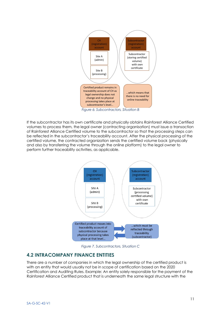

*Figure 6: Subcontractors, Situation B*

If the subcontractor has its own certificate and physically obtains Rainforest Alliance Certified volumes to process them, the legal owner (contracting organisation) must issue a transaction of Rainforest Alliance Certified volume to the subcontractor so that the processing steps can be reflected in the subcontractor's traceability account. After the physical processing of the certified volume, the contracted organization sends the certified volume back (physically and also by transferring the volume through the online platform) to the legal owner to perform further traceability activities, as applicable.



*Figure 7. Subcontractors, Situation C*

# <span id="page-10-0"></span>**4.2 INTRACOMPANY FINANCE ENTITIES**

There are a number of companies in which the legal ownership of the certified product is with an entity that would usually not be in scope of certification based on the 2020 Certification and Auditing Rules. Example: An entity solely responsible for the payment of the Rainforest Alliance Certified product that is underneath the same legal structure with the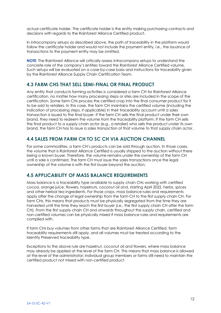actual certificate holder. The certificate holder is the entity making purchasing contracts and decisions with regards to the Rainforest Alliance Certified product.

In intracompany setups as described above, the path of traceability in the platform would follow the certificate holder and would not include the payment entity, i.e., the issuance of transactions to the payment entity may be omitted.

<span id="page-11-0"></span>**NOTE**: The Rainforest Alliance will critically assess intracompany setups to understand the concrete role of the company's entities toward the Rainforest Alliance Certified volume. Such setups will be evaluated on a case-by-case basis and instructions for traceability given by the Rainforest Alliance Supply Chain Certification Team.

# **4.3 FARM CHS THAT SELL SEMI-FINAL OR FINAL PRODUCT**

Any entity that conducts farming activities is considered a farm CH for Rainforest Alliance certification, no matter how many processing steps or sites are included in the scope of the certification. Some farm CHs process the certified crop into the final consumer product for it to be sold to retailers. In this case, the farm CH maintains the certified volume (including the indication of processing steps, if applicable) in their traceability account until a sales transaction is issued to the final buyer. If the farm CH sells the final product under their own brand, they need to redeem the volume from the traceability platform. If the farm CH sells the final product to a supply chain actor (e.g., a retailer) who sells the product under its own brand, the farm CH has to issue a sales transaction of that volume to that supply chain actor.

# <span id="page-11-1"></span>**4.4 SALES FROM FARM CH TO SC CH VIA AUCTION CHANNEL**

<span id="page-11-2"></span>For some commodities, a farm CH's products can be sold through auction. In those cases, the volume that is Rainforest Alliance Certified is usually shipped to the auction without there being a known buyer. Therefore, the volume remains under the ownership of the farm CH until a sale is confirmed. The farm CH must issue the sales transactions once the legal ownership of the volume is with the first buyer beyond the auction.

# **4.5 APPLICABILITY OF MASS BALANCE REQUIREMENTS**

Mass balance is a traceability type available to supply chain CHs working with certified cocoa, orange juice, flowers, hazelnuts, coconut oil and, starting April 2022, herbs, spices and other herbal tea ingredients. For those crops, mass balance rules and requirements apply after the change of legal ownership from the farm CH to the first supply chain CH. For farm CHs, this means that products must be physically segregated from the time they are harvested until the time they reach the first buyer (i.e., the first supply chain CH after the farm CH). From the first supply chain CH and onwards throughout the supply chain, certified and non-certified volumes can be physically mixed if mass balance rules and requirements are complied with.

If farm CHs buy volumes from other farms that are Rainforest Alliance Certified, farm traceability requirements still apply, and all volumes must be treated according to the Identity Preserved traceability type.

Exceptions to the above rule are hazelnut, coconut oil and flowers, where mass balance may already be applied at the level of the farm CH. This means that mass balance is allowed at the level of the administrator; individual group members or farms still need to maintain the certified product not mixed with non-certified product.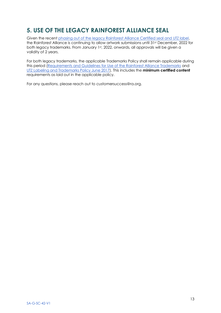# <span id="page-12-0"></span>**5. USE OF THE LEGACY RAINFOREST ALLIANCE SEAL**

Given the recent phasing [out of the legacy Rainforest Alliance Certified seal and UTZ label,](https://www.rainforest-alliance.org/business/marketing-sustainability/timelines-for-new-rainforest-alliance-seal-use-on-products/) the Rainforest Alliance is continuing to allow artwork submissions until 31st December, 2022 for both legacy trademarks. From January 1st, 2022, onwards, all approvals will be given a validity of 2 years.

<span id="page-12-1"></span>For both legacy trademarks, the applicable Trademarks Policy shall remain applicable during this period [\(Requirements and Guidelines for Use of the Rainforest Alliance Trademarks](https://www.rainforest-alliance.org/resource-item/requirements-and-guidelines-for-use-of-the-rainforest-alliance-trademarks/) and [UTZ Labeling and Trademarks Policy June 2017\)](https://utz.org/?attachment_id=13722). This includes the **minimum certified content** requirements as laid out in the applicable policy.

For any questions, please reach out to customersuccess@ra.org.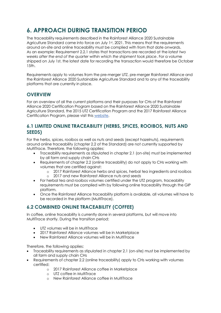# **6. APPROACH DURING TRANSITION PERIOD**

The traceability requirements described in the Rainforest Alliance 2020 Sustainable Agriculture Standard came into force on July 1st, 2021. This means that the requirements around on-site and online traceability must be complied with from that date onwards. As an example: Requirement 2.2.1 states that transactions are recorded at the *latest two weeks after the end of the quarter within which the shipment took place*. For a volume shipped on July 1st, the latest date for recording the transaction would therefore be October 15th.

<span id="page-13-0"></span>Requirements apply to volumes from the pre-merger UTZ, pre-merger Rainforest Alliance and the Rainforest Alliance 2020 Sustainable Agriculture Standard and to any of the traceability platforms that are currently in place.

# **OVERVIEW**

<span id="page-13-1"></span>For an overview of all the current platforms and their purposes for CHs of the Rainforest Alliance 2020 Certification Program based on the Rainforest Alliance 2020 Sustainable Agriculture Standard, the 2015 UTZ Certification Program and the 2017 Rainforest Alliance Certification Program, please visit this [website.](https://www.rainforest-alliance.org/business/certification/how-to-use-our-certification-programs-online-portals/)

# **6.1 LIMITED ONLINE TRACEABILITY (HERBS, SPICES, ROOIBOS, NUTS AND SEEDS)**

For the herbs, spices, rooibos as well as nuts and seeds (except hazelnuts), requirements around online traceability (chapter 2.2 of the Standard) are not currently supported by MultiTrace. Therefore, the following applies:

- Traceability requirements as stipulated in chapter 2.1 (on-site) must be implemented by all farm and supply chain CHs
- Requirements of chapter 2.2 (online traceability) do not apply to CHs working with volumes that are certified against:
	- o 2017 Rainforest Alliance herbs and spices, herbal tea ingredients and rooibos
	- o 2017 and new Rainforest Alliance nuts and seeds
- For herbal tea and rooibos volumes certified under the UTZ program, traceability requirements must be complied with by following online traceability through the GIP platform.
- <span id="page-13-2"></span>• Once the Rainforest Alliance traceability platform is available, all volumes will have to be recorded in the platform (MultiTrace).

# **6.2 COMBINED ONLINE TRACEABILITY (COFFEE)**

In coffee, online traceability is currently done in several platforms, but will move into MultiTrace shortly. During the transition period:

- UTZ volumes will be in MultiTrace
- 2017 Rainforest Alliance volumes will be in Marketplace
- New Rainforest Alliance volumes will be in MultiTrace

Therefore, the following applies:

- Traceability requirements as stipulated in chapter 2.1 (on-site) must be implemented by all farm and supply chain CHs
- Requirements of chapter 2.2 (online traceability) apply to CHs working with volumes certified:
	- o 2017 Rainforest Alliance coffee in Marketplace
	- o UTZ coffee in MultiTrace
	- o New Rainforest Alliance coffee in MultiTrace